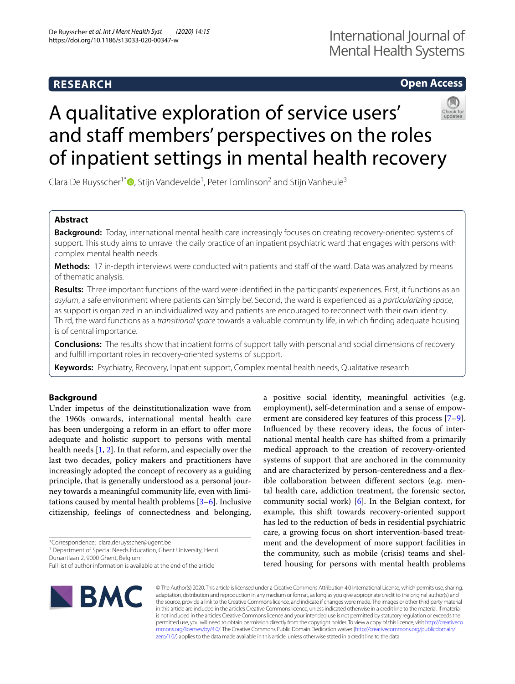# **RESEARCH**

# **Open Access**

# A qualitative exploration of service users' and staff members' perspectives on the roles of inpatient settings in mental health recovery

Clara De Ruysscher<sup>1\*</sup><sup>®</sup>[,](http://orcid.org/0000-0001-8601-1875) Stijn Vandevelde<sup>1</sup>, Peter Tomlinson<sup>2</sup> and Stijn Vanheule<sup>3</sup>

# **Abstract**

**Background:** Today, international mental health care increasingly focuses on creating recovery-oriented systems of support. This study aims to unravel the daily practice of an inpatient psychiatric ward that engages with persons with complex mental health needs.

**Methods:** 17 in-depth interviews were conducted with patients and staff of the ward. Data was analyzed by means of thematic analysis.

**Results:** Three important functions of the ward were identifed in the participants' experiences. First, it functions as an *asylum*, a safe environment where patients can 'simply be'. Second, the ward is experienced as a *particularizing space*, as support is organized in an individualized way and patients are encouraged to reconnect with their own identity. Third, the ward functions as a *transitional space* towards a valuable community life, in which fnding adequate housing is of central importance.

**Conclusions:** The results show that inpatient forms of support tally with personal and social dimensions of recovery and fulfll important roles in recovery-oriented systems of support.

**Keywords:** Psychiatry, Recovery, Inpatient support, Complex mental health needs, Qualitative research

# **Background**

Under impetus of the deinstitutionalization wave from the 1960s onwards, international mental health care has been undergoing a reform in an effort to offer more adequate and holistic support to persons with mental health needs [[1,](#page-12-0) [2](#page-12-1)]. In that reform, and especially over the last two decades, policy makers and practitioners have increasingly adopted the concept of recovery as a guiding principle, that is generally understood as a personal journey towards a meaningful community life, even with limitations caused by mental health problems [[3–](#page-12-2)[6](#page-12-3)]. Inclusive citizenship, feelings of connectedness and belonging,

\*Correspondence: clara.deruysscher@ugent.be

<sup>1</sup> Department of Special Needs Education, Ghent University, Henri Dunantlaan 2, 9000 Ghent, Belgium

**BMC** 

a positive social identity, meaningful activities (e.g. employment), self-determination and a sense of empowerment are considered key features of this process [\[7](#page-12-4)[–9](#page-12-5)]. Infuenced by these recovery ideas, the focus of international mental health care has shifted from a primarily medical approach to the creation of recovery-oriented systems of support that are anchored in the community and are characterized by person-centeredness and a fexible collaboration between diferent sectors (e.g. mental health care, addiction treatment, the forensic sector, community social work) [\[6](#page-12-3)]. In the Belgian context, for example, this shift towards recovery-oriented support has led to the reduction of beds in residential psychiatric care, a growing focus on short intervention-based treatment and the development of more support facilities in the community, such as mobile (crisis) teams and sheltered housing for persons with mental health problems

© The Author(s) 2020. This article is licensed under a Creative Commons Attribution 4.0 International License, which permits use, sharing, adaptation, distribution and reproduction in any medium or format, as long as you give appropriate credit to the original author(s) and the source, provide a link to the Creative Commons licence, and indicate if changes were made. The images or other third party material in this article are included in the article's Creative Commons licence, unless indicated otherwise in a credit line to the material. If material is not included in the article's Creative Commons licence and your intended use is not permitted by statutory regulation or exceeds the permitted use, you will need to obtain permission directly from the copyright holder. To view a copy of this licence, visit [http://creativeco](http://creativecommons.org/licenses/by/4.0/) [mmons.org/licenses/by/4.0/.](http://creativecommons.org/licenses/by/4.0/) The Creative Commons Public Domain Dedication waiver ([http://creativecommons.org/publicdomain/](http://creativecommons.org/publicdomain/zero/1.0/) [zero/1.0/\)](http://creativecommons.org/publicdomain/zero/1.0/) applies to the data made available in this article, unless otherwise stated in a credit line to the data.

Full list of author information is available at the end of the article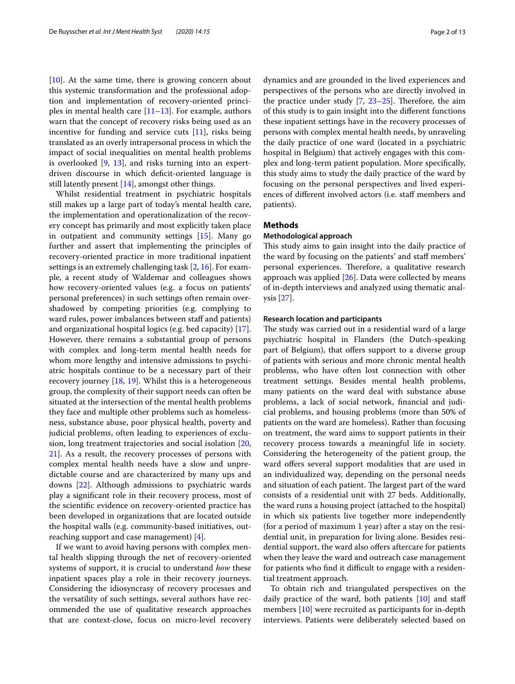[[10\]](#page-12-6). At the same time, there is growing concern about this systemic transformation and the professional adoption and implementation of recovery-oriented principles in mental health care  $[11–13]$  $[11–13]$  $[11–13]$  $[11–13]$ . For example, authors warn that the concept of recovery risks being used as an incentive for funding and service cuts [[11](#page-12-7)], risks being translated as an overly intrapersonal process in which the impact of social inequalities on mental health problems is overlooked [[9,](#page-12-5) [13\]](#page-12-8), and risks turning into an expertdriven discourse in which deficit-oriented language is still latently present [\[14](#page-12-9)], amongst other things.

Whilst residential treatment in psychiatric hospitals still makes up a large part of today's mental health care, the implementation and operationalization of the recovery concept has primarily and most explicitly taken place in outpatient and community settings [\[15\]](#page-12-10). Many go further and assert that implementing the principles of recovery-oriented practice in more traditional inpatient settings is an extremely challenging task [\[2,](#page-12-1) [16\]](#page-12-11). For example, a recent study of Waldemar and colleagues shows how recovery-oriented values (e.g. a focus on patients' personal preferences) in such settings often remain overshadowed by competing priorities (e.g. complying to ward rules, power imbalances between staff and patients) and organizational hospital logics (e.g. bed capacity) [\[17](#page-12-12)]. However, there remains a substantial group of persons with complex and long-term mental health needs for whom more lengthy and intensive admissions to psychiatric hospitals continue to be a necessary part of their recovery journey [\[18](#page-12-13), [19](#page-12-14)]. Whilst this is a heterogeneous group, the complexity of their support needs can often be situated at the intersection of the mental health problems they face and multiple other problems such as homelessness, substance abuse, poor physical health, poverty and judicial problems, often leading to experiences of exclusion, long treatment trajectories and social isolation [\[20](#page-12-15), [21\]](#page-12-16). As a result, the recovery processes of persons with complex mental health needs have a slow and unpredictable course and are characterized by many ups and downs [\[22\]](#page-12-17). Although admissions to psychiatric wards play a signifcant role in their recovery process, most of the scientifc evidence on recovery-oriented practice has been developed in organizations that are located outside the hospital walls (e.g. community-based initiatives, outreaching support and case management) [[4\]](#page-12-18).

If we want to avoid having persons with complex mental health slipping through the net of recovery-oriented systems of support, it is crucial to understand *how* these inpatient spaces play a role in their recovery journeys. Considering the idiosyncrasy of recovery processes and the versatility of such settings, several authors have recommended the use of qualitative research approaches that are context-close, focus on micro-level recovery dynamics and are grounded in the lived experiences and perspectives of the persons who are directly involved in the practice under study  $[7, 23-25]$  $[7, 23-25]$  $[7, 23-25]$ . Therefore, the aim of this study is to gain insight into the diferent functions these inpatient settings have in the recovery processes of persons with complex mental health needs, by unraveling the daily practice of one ward (located in a psychiatric hospital in Belgium) that actively engages with this complex and long-term patient population. More specifcally, this study aims to study the daily practice of the ward by focusing on the personal perspectives and lived experiences of diferent involved actors (i.e. staf members and patients).

#### **Methods**

#### **Methodological approach**

This study aims to gain insight into the daily practice of the ward by focusing on the patients' and staf members' personal experiences. Therefore, a qualitative research approach was applied  $[26]$  $[26]$ . Data were collected by means of in-depth interviews and analyzed using thematic analysis [\[27\]](#page-12-22).

#### **Research location and participants**

The study was carried out in a residential ward of a large psychiatric hospital in Flanders (the Dutch-speaking part of Belgium), that offers support to a diverse group of patients with serious and more chronic mental health problems, who have often lost connection with other treatment settings. Besides mental health problems, many patients on the ward deal with substance abuse problems, a lack of social network, fnancial and judicial problems, and housing problems (more than 50% of patients on the ward are homeless). Rather than focusing on treatment, the ward aims to support patients in their recovery process towards a meaningful life in society. Considering the heterogeneity of the patient group, the ward offers several support modalities that are used in an individualized way, depending on the personal needs and situation of each patient. The largest part of the ward consists of a residential unit with 27 beds. Additionally, the ward runs a housing project (attached to the hospital) in which six patients live together more independently (for a period of maximum 1 year) after a stay on the residential unit, in preparation for living alone. Besides residential support, the ward also offers aftercare for patients when they leave the ward and outreach case management for patients who find it difficult to engage with a residential treatment approach.

To obtain rich and triangulated perspectives on the daily practice of the ward, both patients  $[10]$  $[10]$  and staff members [[10](#page-12-6)] were recruited as participants for in-depth interviews. Patients were deliberately selected based on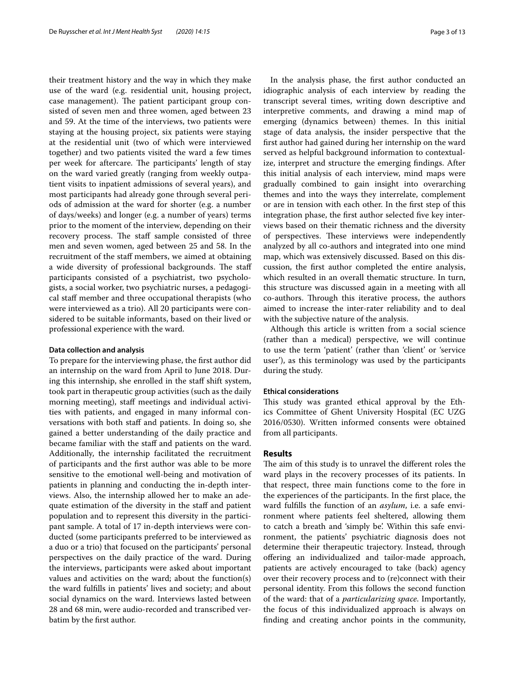their treatment history and the way in which they make use of the ward (e.g. residential unit, housing project, case management). The patient participant group consisted of seven men and three women, aged between 23 and 59. At the time of the interviews, two patients were staying at the housing project, six patients were staying at the residential unit (two of which were interviewed together) and two patients visited the ward a few times per week for aftercare. The participants' length of stay on the ward varied greatly (ranging from weekly outpatient visits to inpatient admissions of several years), and most participants had already gone through several periods of admission at the ward for shorter (e.g. a number of days/weeks) and longer (e.g. a number of years) terms prior to the moment of the interview, depending on their recovery process. The staff sample consisted of three men and seven women, aged between 25 and 58. In the recruitment of the staff members, we aimed at obtaining a wide diversity of professional backgrounds. The staff participants consisted of a psychiatrist, two psychologists, a social worker, two psychiatric nurses, a pedagogical staf member and three occupational therapists (who were interviewed as a trio). All 20 participants were considered to be suitable informants, based on their lived or professional experience with the ward.

#### **Data collection and analysis**

To prepare for the interviewing phase, the frst author did an internship on the ward from April to June 2018. During this internship, she enrolled in the staff shift system, took part in therapeutic group activities (such as the daily morning meeting), staf meetings and individual activities with patients, and engaged in many informal conversations with both staff and patients. In doing so, she gained a better understanding of the daily practice and became familiar with the staff and patients on the ward. Additionally, the internship facilitated the recruitment of participants and the frst author was able to be more sensitive to the emotional well-being and motivation of patients in planning and conducting the in-depth interviews. Also, the internship allowed her to make an adequate estimation of the diversity in the staff and patient population and to represent this diversity in the participant sample. A total of 17 in-depth interviews were conducted (some participants preferred to be interviewed as a duo or a trio) that focused on the participants' personal perspectives on the daily practice of the ward. During the interviews, participants were asked about important values and activities on the ward; about the function(s) the ward fulflls in patients' lives and society; and about social dynamics on the ward. Interviews lasted between 28 and 68 min, were audio-recorded and transcribed verbatim by the frst author.

In the analysis phase, the frst author conducted an idiographic analysis of each interview by reading the transcript several times, writing down descriptive and interpretive comments, and drawing a mind map of emerging (dynamics between) themes. In this initial stage of data analysis, the insider perspective that the frst author had gained during her internship on the ward served as helpful background information to contextualize, interpret and structure the emerging fndings. After this initial analysis of each interview, mind maps were gradually combined to gain insight into overarching themes and into the ways they interrelate, complement or are in tension with each other. In the frst step of this integration phase, the first author selected five key interviews based on their thematic richness and the diversity of perspectives. These interviews were independently analyzed by all co-authors and integrated into one mind map, which was extensively discussed. Based on this discussion, the frst author completed the entire analysis, which resulted in an overall thematic structure. In turn, this structure was discussed again in a meeting with all co-authors. Through this iterative process, the authors aimed to increase the inter-rater reliability and to deal with the subjective nature of the analysis.

Although this article is written from a social science (rather than a medical) perspective, we will continue to use the term 'patient' (rather than 'client' or 'service user'), as this terminology was used by the participants during the study.

#### **Ethical considerations**

This study was granted ethical approval by the Ethics Committee of Ghent University Hospital (EC UZG 2016/0530). Written informed consents were obtained from all participants.

#### **Results**

The aim of this study is to unravel the different roles the ward plays in the recovery processes of its patients. In that respect, three main functions come to the fore in the experiences of the participants. In the frst place, the ward fulflls the function of an *asylum*, i.e. a safe environment where patients feel sheltered, allowing them to catch a breath and 'simply be'. Within this safe environment, the patients' psychiatric diagnosis does not determine their therapeutic trajectory. Instead, through ofering an individualized and tailor-made approach, patients are actively encouraged to take (back) agency over their recovery process and to (re)connect with their personal identity. From this follows the second function of the ward: that of a *particularizing space*. Importantly, the focus of this individualized approach is always on fnding and creating anchor points in the community,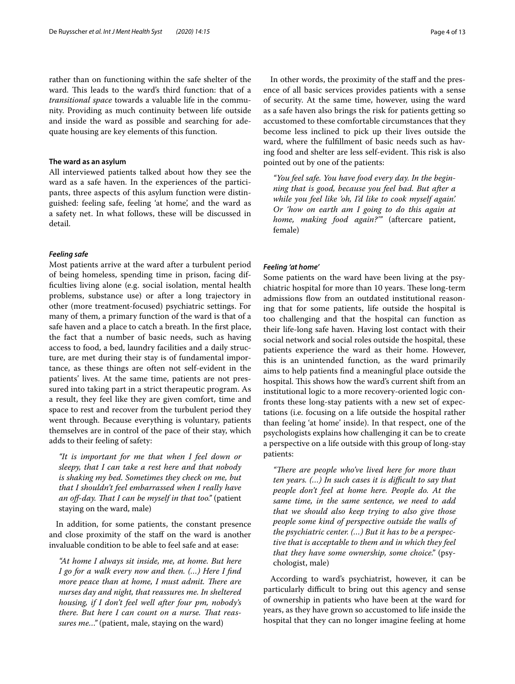rather than on functioning within the safe shelter of the ward. This leads to the ward's third function: that of a *transitional space* towards a valuable life in the community. Providing as much continuity between life outside and inside the ward as possible and searching for adequate housing are key elements of this function.

#### **The ward as an asylum**

All interviewed patients talked about how they see the ward as a safe haven. In the experiences of the participants, three aspects of this asylum function were distinguished: feeling safe, feeling 'at home', and the ward as a safety net. In what follows, these will be discussed in detail.

#### *Feeling safe*

Most patients arrive at the ward after a turbulent period of being homeless, spending time in prison, facing diffculties living alone (e.g. social isolation, mental health problems, substance use) or after a long trajectory in other (more treatment-focused) psychiatric settings. For many of them, a primary function of the ward is that of a safe haven and a place to catch a breath. In the frst place, the fact that a number of basic needs, such as having access to food, a bed, laundry facilities and a daily structure, are met during their stay is of fundamental importance, as these things are often not self-evident in the patients' lives. At the same time, patients are not pressured into taking part in a strict therapeutic program. As a result, they feel like they are given comfort, time and space to rest and recover from the turbulent period they went through. Because everything is voluntary, patients themselves are in control of the pace of their stay, which adds to their feeling of safety:

*"It is important for me that when I feel down or sleepy, that I can take a rest here and that nobody is shaking my bed. Sometimes they check on me, but that I shouldn't feel embarrassed when I really have an of*-*day. Tat I can be myself in that too."* (patient staying on the ward, male)

In addition, for some patients, the constant presence and close proximity of the staff on the ward is another invaluable condition to be able to feel safe and at ease:

*"At home I always sit inside, me, at home. But here I go for a walk every now and then. (…) Here I fnd more peace than at home, I must admit. There are nurses day and night, that reassures me. In sheltered housing, if I don't feel well after four pm, nobody's*  there. But here I can count on a nurse. That reas*sures me…"* (patient, male, staying on the ward)

In other words, the proximity of the staff and the presence of all basic services provides patients with a sense of security. At the same time, however, using the ward as a safe haven also brings the risk for patients getting so accustomed to these comfortable circumstances that they become less inclined to pick up their lives outside the ward, where the fulfllment of basic needs such as having food and shelter are less self-evident. This risk is also pointed out by one of the patients:

*"You feel safe. You have food every day. In the beginning that is good, because you feel bad. But after a while you feel like 'oh, I'd like to cook myself again'. Or 'how on earth am I going to do this again at home, making food again?'"* (aftercare patient, female)

#### *Feeling 'at home'*

Some patients on the ward have been living at the psychiatric hospital for more than 10 years. These long-term admissions flow from an outdated institutional reasoning that for some patients, life outside the hospital is too challenging and that the hospital can function as their life-long safe haven. Having lost contact with their social network and social roles outside the hospital, these patients experience the ward as their home. However, this is an unintended function, as the ward primarily aims to help patients fnd a meaningful place outside the hospital. This shows how the ward's current shift from an institutional logic to a more recovery-oriented logic confronts these long-stay patients with a new set of expectations (i.e. focusing on a life outside the hospital rather than feeling 'at home' inside). In that respect, one of the psychologists explains how challenging it can be to create a perspective on a life outside with this group of long-stay patients:

"There are people who've lived here for more than *ten years.* (...) In such cases it is difficult to say that *people don't feel at home here. People do. At the same time, in the same sentence, we need to add that we should also keep trying to also give those people some kind of perspective outside the walls of the psychiatric center. (…) But it has to be a perspective that is acceptable to them and in which they feel that they have some ownership, some choice."* (psychologist, male)

According to ward's psychiatrist, however, it can be particularly difficult to bring out this agency and sense of ownership in patients who have been at the ward for years, as they have grown so accustomed to life inside the hospital that they can no longer imagine feeling at home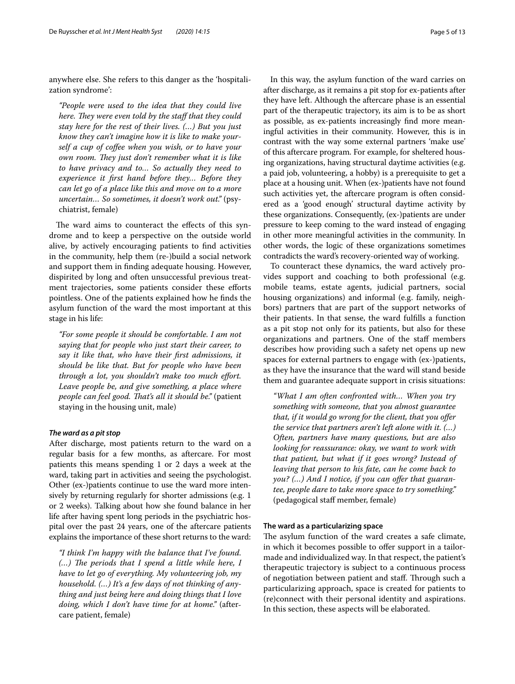anywhere else. She refers to this danger as the 'hospitalization syndrome':

*"People were used to the idea that they could live here. They were even told by the staff that they could stay here for the rest of their lives. (…) But you just know they can't imagine how it is like to make yourself a cup of cofee when you wish, or to have your own room. They just don't remember what it is like to have privacy and to… So actually they need to experience it frst hand before they… Before they can let go of a place like this and move on to a more uncertain… So sometimes, it doesn't work out."* (psychiatrist, female)

The ward aims to counteract the effects of this syndrome and to keep a perspective on the outside world alive, by actively encouraging patients to fnd activities in the community, help them (re-)build a social network and support them in fnding adequate housing. However, dispirited by long and often unsuccessful previous treatment trajectories, some patients consider these efforts pointless. One of the patients explained how he fnds the asylum function of the ward the most important at this stage in his life:

*"For some people it should be comfortable. I am not saying that for people who just start their career, to say it like that, who have their frst admissions, it should be like that. But for people who have been through a lot, you shouldn't make too much efort. Leave people be, and give something, a place where people can feel good. That's all it should be."* (patient staying in the housing unit, male)

#### *The ward as a pit stop*

After discharge, most patients return to the ward on a regular basis for a few months, as aftercare. For most patients this means spending 1 or 2 days a week at the ward, taking part in activities and seeing the psychologist. Other (ex-)patients continue to use the ward more intensively by returning regularly for shorter admissions (e.g. 1 or 2 weeks). Talking about how she found balance in her life after having spent long periods in the psychiatric hospital over the past 24 years, one of the aftercare patients explains the importance of these short returns to the ward:

*"I think I'm happy with the balance that I've found. (...)* The periods that I spend a little while here, I *have to let go of everything. My volunteering job, my household. (…) It's a few days of not thinking of anything and just being here and doing things that I love doing, which I don't have time for at home."* (aftercare patient, female)

In this way, the asylum function of the ward carries on after discharge, as it remains a pit stop for ex-patients after they have left. Although the aftercare phase is an essential part of the therapeutic trajectory, its aim is to be as short as possible, as ex-patients increasingly fnd more meaningful activities in their community. However, this is in contrast with the way some external partners 'make use' of this aftercare program. For example, for sheltered housing organizations, having structural daytime activities (e.g. a paid job, volunteering, a hobby) is a prerequisite to get a place at a housing unit. When (ex-)patients have not found such activities yet, the aftercare program is often considered as a 'good enough' structural daytime activity by these organizations. Consequently, (ex-)patients are under pressure to keep coming to the ward instead of engaging in other more meaningful activities in the community. In other words, the logic of these organizations sometimes contradicts the ward's recovery-oriented way of working.

To counteract these dynamics, the ward actively provides support and coaching to both professional (e.g. mobile teams, estate agents, judicial partners, social housing organizations) and informal (e.g. family, neighbors) partners that are part of the support networks of their patients. In that sense, the ward fulflls a function as a pit stop not only for its patients, but also for these organizations and partners. One of the staf members describes how providing such a safety net opens up new spaces for external partners to engage with (ex-)patients, as they have the insurance that the ward will stand beside them and guarantee adequate support in crisis situations:

*"What I am often confronted with… When you try something with someone, that you almost guarantee that, if it would go wrong for the client, that you ofer the service that partners aren't left alone with it. (…) Often, partners have many questions, but are also looking for reassurance: okay, we want to work with that patient, but what if it goes wrong? Instead of leaving that person to his fate, can he come back to you? (…) And I notice, if you can ofer that guarantee, people dare to take more space to try something."* (pedagogical staff member, female)

#### **The ward as a particularizing space**

The asylum function of the ward creates a safe climate, in which it becomes possible to offer support in a tailormade and individualized way. In that respect, the patient's therapeutic trajectory is subject to a continuous process of negotiation between patient and staff. Through such a particularizing approach, space is created for patients to (re)connect with their personal identity and aspirations. In this section, these aspects will be elaborated.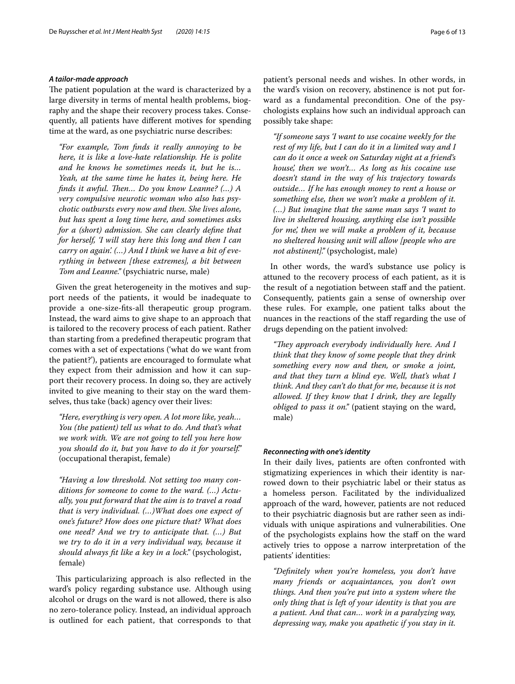#### *A tailor‑made approach*

The patient population at the ward is characterized by a large diversity in terms of mental health problems, biography and the shape their recovery process takes. Consequently, all patients have diferent motives for spending time at the ward, as one psychiatric nurse describes:

*"For example, Tom fnds it really annoying to be here, it is like a love*-*hate relationship. He is polite and he knows he sometimes needs it, but he is… Yeah, at the same time he hates it, being here. He finds it awful. Then... Do you know Leanne?* (...) A *very compulsive neurotic woman who also has psychotic outbursts every now and then. She lives alone, but has spent a long time here, and sometimes asks for a (short) admission. She can clearly defne that for herself, 'I will stay here this long and then I can carry on again'. (…) And I think we have a bit of everything in between [these extremes], a bit between Tom and Leanne."* (psychiatric nurse, male)

Given the great heterogeneity in the motives and support needs of the patients, it would be inadequate to provide a one-size-fts-all therapeutic group program. Instead, the ward aims to give shape to an approach that is tailored to the recovery process of each patient. Rather than starting from a predefned therapeutic program that comes with a set of expectations ('what do we want from the patient?'), patients are encouraged to formulate what they expect from their admission and how it can support their recovery process. In doing so, they are actively invited to give meaning to their stay on the ward themselves, thus take (back) agency over their lives:

*"Here, everything is very open. A lot more like, yeah… You (the patient) tell us what to do. And that's what we work with. We are not going to tell you here how you should do it, but you have to do it for yourself."* (occupational therapist, female)

*"Having a low threshold. Not setting too many conditions for someone to come to the ward. (…) Actually, you put forward that the aim is to travel a road that is very individual. (…)What does one expect of one's future? How does one picture that? What does one need? And we try to anticipate that. (…) But we try to do it in a very individual way, because it should always ft like a key in a lock."* (psychologist, female)

This particularizing approach is also reflected in the ward's policy regarding substance use. Although using alcohol or drugs on the ward is not allowed, there is also no zero-tolerance policy. Instead, an individual approach is outlined for each patient, that corresponds to that patient's personal needs and wishes. In other words, in the ward's vision on recovery, abstinence is not put forward as a fundamental precondition. One of the psychologists explains how such an individual approach can possibly take shape:

*"If someone says 'I want to use cocaine weekly for the rest of my life, but I can do it in a limited way and I can do it once a week on Saturday night at a friend's house', then we won't… As long as his cocaine use doesn't stand in the way of his trajectory towards outside… If he has enough money to rent a house or something else, then we won't make a problem of it. (…) But imagine that the same man says 'I want to live in sheltered housing, anything else isn't possible for me', then we will make a problem of it, because no sheltered housing unit will allow [people who are not abstinent]."* (psychologist, male)

In other words, the ward's substance use policy is attuned to the recovery process of each patient, as it is the result of a negotiation between staff and the patient. Consequently, patients gain a sense of ownership over these rules. For example, one patient talks about the nuances in the reactions of the staff regarding the use of drugs depending on the patient involved:

"They approach everybody individually here. And I *think that they know of some people that they drink something every now and then, or smoke a joint, and that they turn a blind eye. Well, that's what I think. And they can't do that for me, because it is not allowed. If they know that I drink, they are legally obliged to pass it on."* (patient staying on the ward, male)

#### *Reconnecting with one's identity*

In their daily lives, patients are often confronted with stigmatizing experiences in which their identity is narrowed down to their psychiatric label or their status as a homeless person. Facilitated by the individualized approach of the ward, however, patients are not reduced to their psychiatric diagnosis but are rather seen as individuals with unique aspirations and vulnerabilities. One of the psychologists explains how the staf on the ward actively tries to oppose a narrow interpretation of the patients' identities:

*"Defnitely when you're homeless, you don't have many friends or acquaintances, you don't own things. And then you're put into a system where the only thing that is left of your identity is that you are a patient. And that can… work in a paralyzing way, depressing way, make you apathetic if you stay in it.*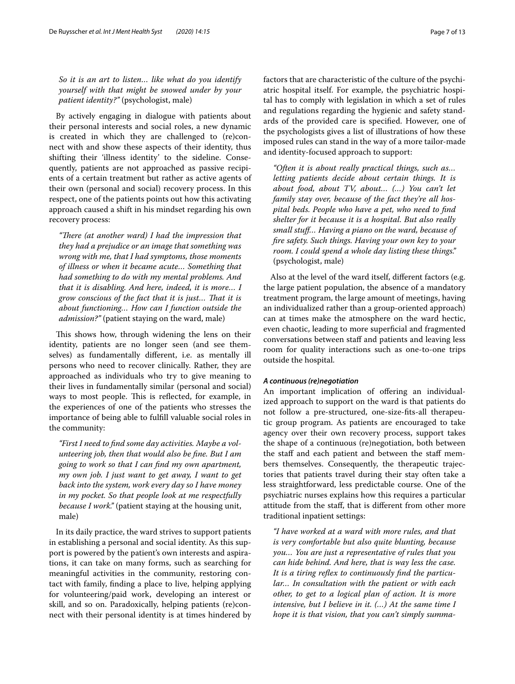*So it is an art to listen… like what do you identify yourself with that might be snowed under by your patient identity?"* (psychologist, male)

By actively engaging in dialogue with patients about their personal interests and social roles, a new dynamic is created in which they are challenged to (re)connect with and show these aspects of their identity, thus shifting their 'illness identity' to the sideline. Consequently, patients are not approached as passive recipients of a certain treatment but rather as active agents of their own (personal and social) recovery process. In this respect, one of the patients points out how this activating approach caused a shift in his mindset regarding his own recovery process:

"There (at another ward) I had the impression that *they had a prejudice or an image that something was wrong with me, that I had symptoms, those moments of illness or when it became acute… Something that had something to do with my mental problems. And that it is disabling. And here, indeed, it is more… I grow conscious of the fact that it is just… Tat it is about functioning… How can I function outside the admission?"* (patient staying on the ward, male)

This shows how, through widening the lens on their identity, patients are no longer seen (and see themselves) as fundamentally diferent, i.e. as mentally ill persons who need to recover clinically. Rather, they are approached as individuals who try to give meaning to their lives in fundamentally similar (personal and social) ways to most people. This is reflected, for example, in the experiences of one of the patients who stresses the importance of being able to fulfll valuable social roles in the community:

*"First I need to fnd some day activities. Maybe a volunteering job, then that would also be fne. But I am going to work so that I can fnd my own apartment, my own job. I just want to get away, I want to get back into the system, work every day so I have money in my pocket. So that people look at me respectfully because I work."* (patient staying at the housing unit, male)

In its daily practice, the ward strives to support patients in establishing a personal and social identity. As this support is powered by the patient's own interests and aspirations, it can take on many forms, such as searching for meaningful activities in the community, restoring contact with family, fnding a place to live, helping applying for volunteering/paid work, developing an interest or skill, and so on. Paradoxically, helping patients (re)connect with their personal identity is at times hindered by factors that are characteristic of the culture of the psychiatric hospital itself. For example, the psychiatric hospital has to comply with legislation in which a set of rules and regulations regarding the hygienic and safety standards of the provided care is specifed. However, one of the psychologists gives a list of illustrations of how these imposed rules can stand in the way of a more tailor-made and identity-focused approach to support:

*"Often it is about really practical things, such as… letting patients decide about certain things. It is about food, about TV, about… (…) You can't let family stay over, because of the fact they're all hospital beds. People who have a pet, who need to fnd shelter for it because it is a hospital. But also really small stuf… Having a piano on the ward, because of fre safety. Such things. Having your own key to your room. I could spend a whole day listing these things."* (psychologist, male)

Also at the level of the ward itself, diferent factors (e.g. the large patient population, the absence of a mandatory treatment program, the large amount of meetings, having an individualized rather than a group-oriented approach) can at times make the atmosphere on the ward hectic, even chaotic, leading to more superficial and fragmented conversations between staff and patients and leaving less room for quality interactions such as one-to-one trips outside the hospital.

#### *A continuous (re)negotiation*

An important implication of offering an individualized approach to support on the ward is that patients do not follow a pre-structured, one-size-fts-all therapeutic group program. As patients are encouraged to take agency over their own recovery process, support takes the shape of a continuous (re)negotiation, both between the staff and each patient and between the staff members themselves. Consequently, the therapeutic trajectories that patients travel during their stay often take a less straightforward, less predictable course. One of the psychiatric nurses explains how this requires a particular attitude from the staf, that is diferent from other more traditional inpatient settings:

*"I have worked at a ward with more rules, and that is very comfortable but also quite blunting, because you… You are just a representative of rules that you can hide behind. And here, that is way less the case. It is a tiring refex to continuously fnd the particular… In consultation with the patient or with each other, to get to a logical plan of action. It is more intensive, but I believe in it. (…) At the same time I hope it is that vision, that you can't simply summa-*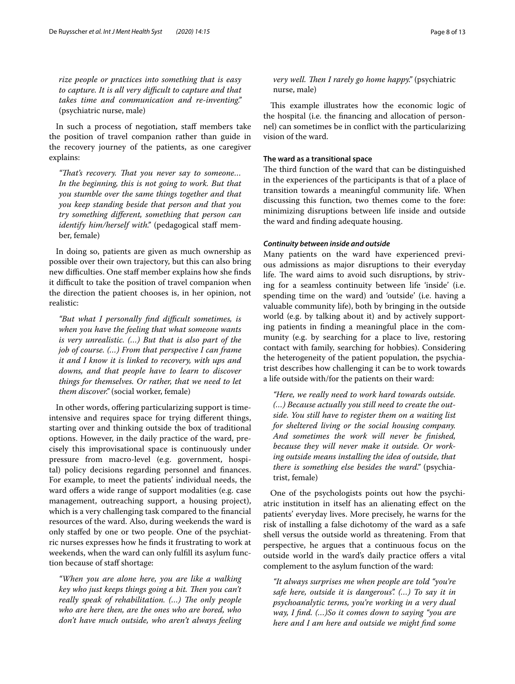*rize people or practices into something that is easy to capture. It is all very difcult to capture and that takes time and communication and re*-*inventing."* (psychiatric nurse, male)

In such a process of negotiation, staff members take the position of travel companion rather than guide in the recovery journey of the patients, as one caregiver explains:

*"Tat's recovery. Tat you never say to someone… In the beginning, this is not going to work. But that you stumble over the same things together and that you keep standing beside that person and that you try something diferent, something that person can identify him/herself with.*" (pedagogical staff member, female)

In doing so, patients are given as much ownership as possible over their own trajectory, but this can also bring new difficulties. One staff member explains how she finds it difficult to take the position of travel companion when the direction the patient chooses is, in her opinion, not realistic:

*"But what I personally fnd difcult sometimes, is when you have the feeling that what someone wants is very unrealistic. (…) But that is also part of the job of course. (…) From that perspective I can frame it and I know it is linked to recovery, with ups and downs, and that people have to learn to discover things for themselves. Or rather, that we need to let them discover."* (social worker, female)

In other words, offering particularizing support is timeintensive and requires space for trying diferent things, starting over and thinking outside the box of traditional options. However, in the daily practice of the ward, precisely this improvisational space is continuously under pressure from macro-level (e.g. government, hospital) policy decisions regarding personnel and fnances. For example, to meet the patients' individual needs, the ward offers a wide range of support modalities (e.g. case management, outreaching support, a housing project), which is a very challenging task compared to the fnancial resources of the ward. Also, during weekends the ward is only stafed by one or two people. One of the psychiatric nurses expresses how he fnds it frustrating to work at weekends, when the ward can only fulfll its asylum function because of staff shortage:

*"When you are alone here, you are like a walking*  key who just keeps things going a bit. Then you can't *really speak of rehabilitation. (...)* The only people *who are here then, are the ones who are bored, who don't have much outside, who aren't always feeling* 

*very well. Then I rarely go home happy.*" (psychiatric nurse, male)

This example illustrates how the economic logic of the hospital (i.e. the fnancing and allocation of personnel) can sometimes be in confict with the particularizing vision of the ward.

### **The ward as a transitional space**

The third function of the ward that can be distinguished in the experiences of the participants is that of a place of transition towards a meaningful community life. When discussing this function, two themes come to the fore: minimizing disruptions between life inside and outside the ward and fnding adequate housing.

#### *Continuity between inside and outside*

Many patients on the ward have experienced previous admissions as major disruptions to their everyday life. The ward aims to avoid such disruptions, by striving for a seamless continuity between life 'inside' (i.e. spending time on the ward) and 'outside' (i.e. having a valuable community life), both by bringing in the outside world (e.g. by talking about it) and by actively supporting patients in fnding a meaningful place in the community (e.g. by searching for a place to live, restoring contact with family, searching for hobbies). Considering the heterogeneity of the patient population, the psychiatrist describes how challenging it can be to work towards a life outside with/for the patients on their ward:

*"Here, we really need to work hard towards outside. (…) Because actually you still need to create the outside. You still have to register them on a waiting list for sheltered living or the social housing company. And sometimes the work will never be fnished, because they will never make it outside. Or working outside means installing the idea of outside, that there is something else besides the ward."* (psychiatrist, female)

One of the psychologists points out how the psychiatric institution in itself has an alienating efect on the patients' everyday lives. More precisely, he warns for the risk of installing a false dichotomy of the ward as a safe shell versus the outside world as threatening. From that perspective, he argues that a continuous focus on the outside world in the ward's daily practice offers a vital complement to the asylum function of the ward:

*"It always surprises me when people are told "you're safe here, outside it is dangerous". (…) To say it in psychoanalytic terms, you're working in a very dual way, I fnd. (…)So it comes down to saying "you are here and I am here and outside we might fnd some*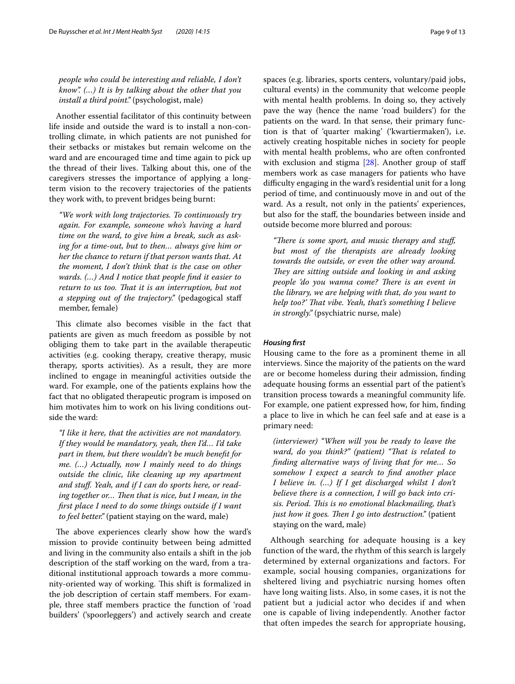*people who could be interesting and reliable, I don't know". (…) It is by talking about the other that you install a third point."* (psychologist, male)

Another essential facilitator of this continuity between life inside and outside the ward is to install a non-controlling climate, in which patients are not punished for their setbacks or mistakes but remain welcome on the ward and are encouraged time and time again to pick up the thread of their lives. Talking about this, one of the caregivers stresses the importance of applying a longterm vision to the recovery trajectories of the patients they work with, to prevent bridges being burnt:

*"We work with long trajectories. To continuously try again. For example, someone who's having a hard time on the ward, to give him a break, such as asking for a time*-*out, but to then… always give him or her the chance to return if that person wants that. At the moment, I don't think that is the case on other wards. (…) And I notice that people fnd it easier to*  return to us too. That it is an interruption, but not *a stepping out of the trajectory."* (pedagogical staf member, female)

This climate also becomes visible in the fact that patients are given as much freedom as possible by not obliging them to take part in the available therapeutic activities (e.g. cooking therapy, creative therapy, music therapy, sports activities). As a result, they are more inclined to engage in meaningful activities outside the ward. For example, one of the patients explains how the fact that no obligated therapeutic program is imposed on him motivates him to work on his living conditions outside the ward:

*"I like it here, that the activities are not mandatory. If they would be mandatory, yeah, then I'd… I'd take part in them, but there wouldn't be much beneft for me. (…) Actually, now I mainly need to do things outside the clinic, like cleaning up my apartment and stuf. Yeah, and if I can do sports here, or read*ing together or... Then that is nice, but I mean, in the *frst place I need to do some things outside if I want to feel better."* (patient staying on the ward, male)

The above experiences clearly show how the ward's mission to provide continuity between being admitted and living in the community also entails a shift in the job description of the staf working on the ward, from a traditional institutional approach towards a more community-oriented way of working. This shift is formalized in the job description of certain staff members. For example, three staff members practice the function of 'road builders' ('spoorleggers') and actively search and create spaces (e.g. libraries, sports centers, voluntary/paid jobs, cultural events) in the community that welcome people with mental health problems. In doing so, they actively pave the way (hence the name 'road builders') for the patients on the ward. In that sense, their primary function is that of 'quarter making' ('kwartiermaken'), i.e. actively creating hospitable niches in society for people with mental health problems, who are often confronted with exclusion and stigma [\[28\]](#page-12-23). Another group of staff members work as case managers for patients who have difculty engaging in the ward's residential unit for a long period of time, and continuously move in and out of the ward. As a result, not only in the patients' experiences, but also for the staf, the boundaries between inside and outside become more blurred and porous:

"There is some sport, and music therapy and stuff, *but most of the therapists are already looking towards the outside, or even the other way around. They are sitting outside and looking in and asking people 'do you wanna come? There is an event in the library, we are helping with that, do you want to help too?' Tat vibe. Yeah, that's something I believe in strongly."* (psychiatric nurse, male)

### *Housing frst*

Housing came to the fore as a prominent theme in all interviews. Since the majority of the patients on the ward are or become homeless during their admission, fnding adequate housing forms an essential part of the patient's transition process towards a meaningful community life. For example, one patient expressed how, for him, fnding a place to live in which he can feel safe and at ease is a primary need:

*(interviewer) "When will you be ready to leave the ward, do you think?" (patient) "Tat is related to fnding alternative ways of living that for me… So somehow I expect a search to fnd another place I believe in. (…) If I get discharged whilst I don't believe there is a connection, I will go back into crisis. Period. Tis is no emotional blackmailing, that's just how it goes. Then I go into destruction.*" (patient staying on the ward, male)

Although searching for adequate housing is a key function of the ward, the rhythm of this search is largely determined by external organizations and factors. For example, social housing companies, organizations for sheltered living and psychiatric nursing homes often have long waiting lists. Also, in some cases, it is not the patient but a judicial actor who decides if and when one is capable of living independently. Another factor that often impedes the search for appropriate housing,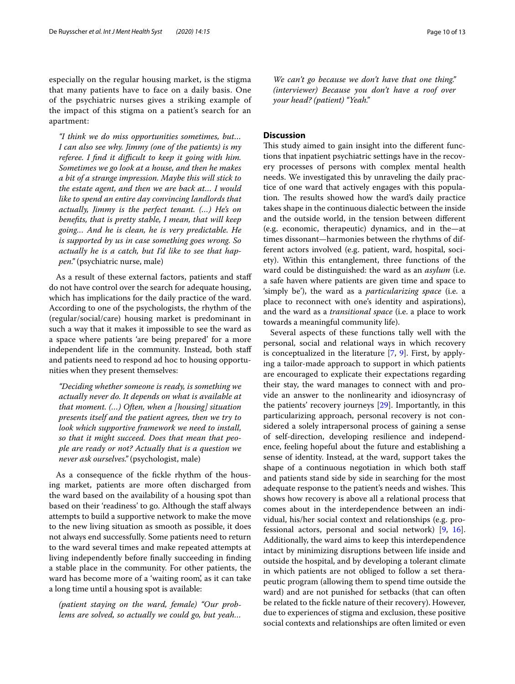especially on the regular housing market, is the stigma that many patients have to face on a daily basis. One of the psychiatric nurses gives a striking example of the impact of this stigma on a patient's search for an apartment:

*"I think we do miss opportunities sometimes, but… I can also see why. Jimmy (one of the patients) is my referee. I find it difficult to keep it going with him. Sometimes we go look at a house, and then he makes a bit of a strange impression. Maybe this will stick to the estate agent, and then we are back at… I would like to spend an entire day convincing landlords that actually, Jimmy is the perfect tenant. (…) He's on benefts, that is pretty stable, I mean, that will keep going… And he is clean, he is very predictable. He is supported by us in case something goes wrong. So actually he is a catch, but I'd like to see that happen."* (psychiatric nurse, male)

As a result of these external factors, patients and staf do not have control over the search for adequate housing, which has implications for the daily practice of the ward. According to one of the psychologists, the rhythm of the (regular/social/care) housing market is predominant in such a way that it makes it impossible to see the ward as a space where patients 'are being prepared' for a more independent life in the community. Instead, both staf and patients need to respond ad hoc to housing opportunities when they present themselves:

*"Deciding whether someone is ready, is something we actually never do. It depends on what is available at that moment. (…) Often, when a [housing] situation presents itself and the patient agrees, then we try to look which supportive framework we need to install, so that it might succeed. Does that mean that people are ready or not? Actually that is a question we never ask ourselves."* (psychologist, male)

As a consequence of the fickle rhythm of the housing market, patients are more often discharged from the ward based on the availability of a housing spot than based on their 'readiness' to go. Although the staff always attempts to build a supportive network to make the move to the new living situation as smooth as possible, it does not always end successfully. Some patients need to return to the ward several times and make repeated attempts at living independently before fnally succeeding in fnding a stable place in the community. For other patients, the ward has become more of a 'waiting room', as it can take a long time until a housing spot is available:

*(patient staying on the ward, female) "Our problems are solved, so actually we could go, but yeah…* 

*We can't go because we don't have that one thing." (interviewer) Because you don't have a roof over your head? (patient) "Yeah."*

#### **Discussion**

This study aimed to gain insight into the different functions that inpatient psychiatric settings have in the recovery processes of persons with complex mental health needs. We investigated this by unraveling the daily practice of one ward that actively engages with this population. The results showed how the ward's daily practice takes shape in the continuous dialectic between the inside and the outside world, in the tension between diferent (e.g. economic, therapeutic) dynamics, and in the—at times dissonant—harmonies between the rhythms of different actors involved (e.g. patient, ward, hospital, society). Within this entanglement, three functions of the ward could be distinguished: the ward as an *asylum* (i.e. a safe haven where patients are given time and space to 'simply be'), the ward as a *particularizing space* (i.e. a place to reconnect with one's identity and aspirations), and the ward as a *transitional space* (i.e. a place to work towards a meaningful community life).

Several aspects of these functions tally well with the personal, social and relational ways in which recovery is conceptualized in the literature [[7](#page-12-4), [9\]](#page-12-5). First, by applying a tailor-made approach to support in which patients are encouraged to explicate their expectations regarding their stay, the ward manages to connect with and provide an answer to the nonlinearity and idiosyncrasy of the patients' recovery journeys [\[29](#page-12-24)]. Importantly, in this particularizing approach, personal recovery is not considered a solely intrapersonal process of gaining a sense of self-direction, developing resilience and independence, feeling hopeful about the future and establishing a sense of identity. Instead, at the ward, support takes the shape of a continuous negotiation in which both staf and patients stand side by side in searching for the most adequate response to the patient's needs and wishes. This shows how recovery is above all a relational process that comes about in the interdependence between an individual, his/her social context and relationships (e.g. professional actors, personal and social network) [\[9](#page-12-5), [16](#page-12-11)]. Additionally, the ward aims to keep this interdependence intact by minimizing disruptions between life inside and outside the hospital, and by developing a tolerant climate in which patients are not obliged to follow a set therapeutic program (allowing them to spend time outside the ward) and are not punished for setbacks (that can often be related to the fckle nature of their recovery). However, due to experiences of stigma and exclusion, these positive social contexts and relationships are often limited or even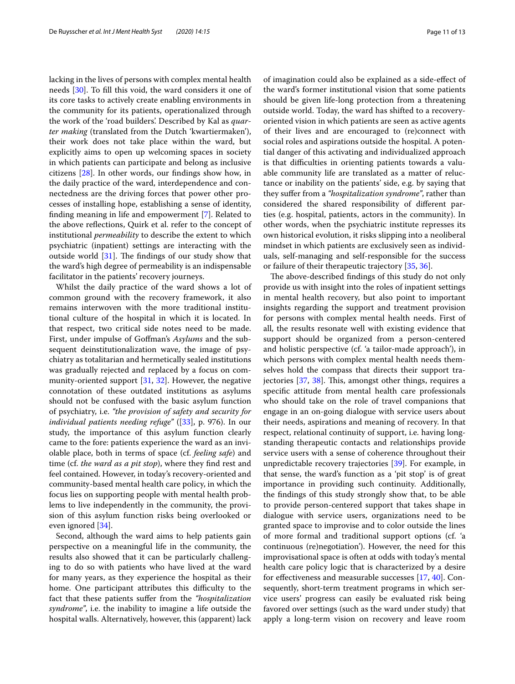lacking in the lives of persons with complex mental health needs [[30\]](#page-12-25). To fll this void, the ward considers it one of its core tasks to actively create enabling environments in the community for its patients, operationalized through the work of the 'road builders'. Described by Kal as *quarter making* (translated from the Dutch 'kwartiermaken'), their work does not take place within the ward, but explicitly aims to open up welcoming spaces in society in which patients can participate and belong as inclusive citizens [\[28](#page-12-23)]. In other words, our fndings show how, in the daily practice of the ward, interdependence and connectedness are the driving forces that power other processes of installing hope, establishing a sense of identity, fnding meaning in life and empowerment [[7\]](#page-12-4). Related to the above refections, Quirk et al. refer to the concept of institutional *permeability* to describe the extent to which psychiatric (inpatient) settings are interacting with the outside world  $[31]$  $[31]$  $[31]$ . The findings of our study show that the ward's high degree of permeability is an indispensable facilitator in the patients' recovery journeys.

Whilst the daily practice of the ward shows a lot of common ground with the recovery framework, it also remains interwoven with the more traditional institutional culture of the hospital in which it is located. In that respect, two critical side notes need to be made. First, under impulse of Gofman's *Asylums* and the subsequent deinstitutionalization wave, the image of psychiatry as totalitarian and hermetically sealed institutions was gradually rejected and replaced by a focus on community-oriented support [[31](#page-12-26), [32](#page-12-27)]. However, the negative connotation of these outdated institutions as asylums should not be confused with the basic asylum function of psychiatry, i.e. *"the provision of safety and security for individual patients needing refuge"* ([[33](#page-12-28)], p. 976). In our study, the importance of this asylum function clearly came to the fore: patients experience the ward as an inviolable place, both in terms of space (cf. *feeling safe*) and time (cf. *the ward as a pit stop*), where they fnd rest and feel contained. However, in today's recovery-oriented and community-based mental health care policy, in which the focus lies on supporting people with mental health problems to live independently in the community, the provision of this asylum function risks being overlooked or even ignored [\[34](#page-12-29)].

Second, although the ward aims to help patients gain perspective on a meaningful life in the community, the results also showed that it can be particularly challenging to do so with patients who have lived at the ward for many years, as they experience the hospital as their home. One participant attributes this difficulty to the fact that these patients sufer from the *"hospitalization syndrome"*, i.e. the inability to imagine a life outside the hospital walls. Alternatively, however, this (apparent) lack of imagination could also be explained as a side-efect of the ward's former institutional vision that some patients should be given life-long protection from a threatening outside world. Today, the ward has shifted to a recoveryoriented vision in which patients are seen as active agents of their lives and are encouraged to (re)connect with social roles and aspirations outside the hospital. A potential danger of this activating and individualized approach is that difficulties in orienting patients towards a valuable community life are translated as a matter of reluctance or inability on the patients' side, e.g. by saying that they sufer from a *"hospitalization syndrome"*, rather than considered the shared responsibility of diferent parties (e.g. hospital, patients, actors in the community). In other words, when the psychiatric institute represses its own historical evolution, it risks slipping into a neoliberal mindset in which patients are exclusively seen as individuals, self-managing and self-responsible for the success or failure of their therapeutic trajectory [[35,](#page-12-30) [36](#page-12-31)].

The above-described findings of this study do not only provide us with insight into the roles of inpatient settings in mental health recovery, but also point to important insights regarding the support and treatment provision for persons with complex mental health needs. First of all, the results resonate well with existing evidence that support should be organized from a person-centered and holistic perspective (cf. 'a tailor-made approach'), in which persons with complex mental health needs themselves hold the compass that directs their support tra-jectories [[37,](#page-12-32) [38](#page-12-33)]. This, amongst other things, requires a specifc attitude from mental health care professionals who should take on the role of travel companions that engage in an on-going dialogue with service users about their needs, aspirations and meaning of recovery. In that respect, relational continuity of support, i.e. having longstanding therapeutic contacts and relationships provide service users with a sense of coherence throughout their unpredictable recovery trajectories [[39](#page-12-34)]. For example, in that sense, the ward's function as a 'pit stop' is of great importance in providing such continuity. Additionally, the fndings of this study strongly show that, to be able to provide person-centered support that takes shape in dialogue with service users, organizations need to be granted space to improvise and to color outside the lines of more formal and traditional support options (cf. 'a continuous (re)negotiation'). However, the need for this improvisational space is often at odds with today's mental health care policy logic that is characterized by a desire for effectiveness and measurable successes [\[17,](#page-12-12) [40\]](#page-12-35). Consequently, short-term treatment programs in which service users' progress can easily be evaluated risk being favored over settings (such as the ward under study) that apply a long-term vision on recovery and leave room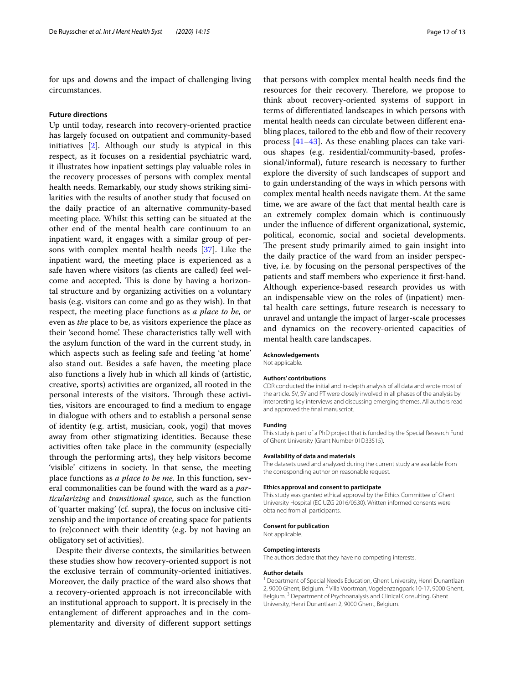for ups and downs and the impact of challenging living circumstances.

#### **Future directions**

Up until today, research into recovery-oriented practice has largely focused on outpatient and community-based initiatives [\[2](#page-12-1)]. Although our study is atypical in this respect, as it focuses on a residential psychiatric ward, it illustrates how inpatient settings play valuable roles in the recovery processes of persons with complex mental health needs. Remarkably, our study shows striking similarities with the results of another study that focused on the daily practice of an alternative community-based meeting place. Whilst this setting can be situated at the other end of the mental health care continuum to an inpatient ward, it engages with a similar group of persons with complex mental health needs [[37\]](#page-12-32). Like the inpatient ward, the meeting place is experienced as a safe haven where visitors (as clients are called) feel welcome and accepted. This is done by having a horizontal structure and by organizing activities on a voluntary basis (e.g. visitors can come and go as they wish). In that respect, the meeting place functions as *a place to be*, or even as *the* place to be, as visitors experience the place as their 'second home'. These characteristics tally well with the asylum function of the ward in the current study, in which aspects such as feeling safe and feeling 'at home' also stand out. Besides a safe haven, the meeting place also functions a lively hub in which all kinds of (artistic, creative, sports) activities are organized, all rooted in the personal interests of the visitors. Through these activities, visitors are encouraged to fnd a medium to engage in dialogue with others and to establish a personal sense of identity (e.g. artist, musician, cook, yogi) that moves away from other stigmatizing identities. Because these activities often take place in the community (especially through the performing arts), they help visitors become 'visible' citizens in society. In that sense, the meeting place functions as *a place to be me*. In this function, several commonalities can be found with the ward as a *particularizing* and *transitional space*, such as the function of 'quarter making' (cf. supra), the focus on inclusive citizenship and the importance of creating space for patients to (re)connect with their identity (e.g. by not having an obligatory set of activities).

Despite their diverse contexts, the similarities between these studies show how recovery-oriented support is not the exclusive terrain of community-oriented initiatives. Moreover, the daily practice of the ward also shows that a recovery-oriented approach is not irreconcilable with an institutional approach to support. It is precisely in the entanglement of diferent approaches and in the complementarity and diversity of diferent support settings

that persons with complex mental health needs fnd the resources for their recovery. Therefore, we propose to think about recovery-oriented systems of support in terms of diferentiated landscapes in which persons with mental health needs can circulate between diferent enabling places, tailored to the ebb and flow of their recovery process [[41–](#page-12-36)[43\]](#page-12-37). As these enabling places can take various shapes (e.g. residential/community-based, professional/informal), future research is necessary to further explore the diversity of such landscapes of support and to gain understanding of the ways in which persons with complex mental health needs navigate them. At the same time, we are aware of the fact that mental health care is an extremely complex domain which is continuously under the infuence of diferent organizational, systemic, political, economic, social and societal developments. The present study primarily aimed to gain insight into the daily practice of the ward from an insider perspective, i.e. by focusing on the personal perspectives of the patients and staf members who experience it frst-hand. Although experience-based research provides us with an indispensable view on the roles of (inpatient) mental health care settings, future research is necessary to unravel and untangle the impact of larger-scale processes and dynamics on the recovery-oriented capacities of mental health care landscapes.

#### **Acknowledgements**

Not applicable.

#### **Authors' contributions**

CDR conducted the initial and in-depth analysis of all data and wrote most of the article. SV, SV and PT were closely involved in all phases of the analysis by interpreting key interviews and discussing emerging themes. All authors read and approved the fnal manuscript.

#### **Funding**

This study is part of a PhD project that is funded by the Special Research Fund of Ghent University (Grant Number 01D33515).

#### **Availability of data and materials**

The datasets used and analyzed during the current study are available from the corresponding author on reasonable request.

#### **Ethics approval and consent to participate**

This study was granted ethical approval by the Ethics Committee of Ghent University Hospital (EC UZG 2016/0530). Written informed consents were obtained from all participants.

#### **Consent for publication**

Not applicable.

#### **Competing interests**

The authors declare that they have no competing interests.

#### **Author details**

<sup>1</sup> Department of Special Needs Education, Ghent University, Henri Dunantlaan 2, 9000 Ghent, Belgium. <sup>2</sup> Villa Voortman, Vogelenzangpark 10-17, 9000 Ghent, Belgium. 3 Department of Psychoanalysis and Clinical Consulting, Ghent University, Henri Dunantlaan 2, 9000 Ghent, Belgium.